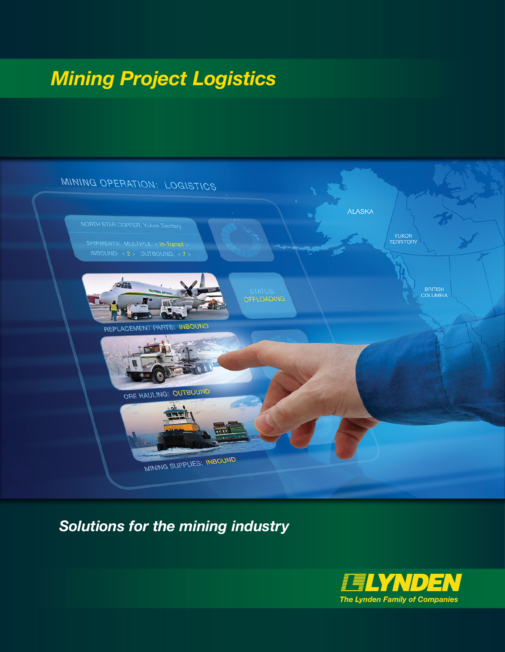# *Mining Project Logistics*



#### *Solutions for the mining industry*